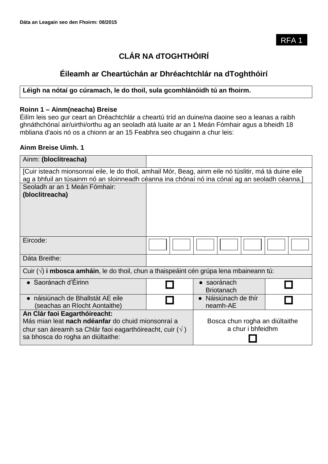# **CLÁR NA dTOGHTHÓIRÍ**

# **Éileamh ar Cheartúchán ar Dhréachtchlár na dToghthóirí**

### **Léigh na nótaí go cúramach, le do thoil, sula gcomhlánóidh tú an fhoirm.**

#### **Roinn 1 – Ainm(neacha) Breise**

Éilím leis seo gur ceart an Dréachtchlár a cheartú tríd an duine/na daoine seo a leanas a raibh ghnáthchónaí air/uirthi/orthu ag an seoladh atá luaite ar an 1 Meán Fómhair agus a bheidh 18 mbliana d'aois nó os a chionn ar an 15 Feabhra seo chugainn a chur leis:

#### **Ainm Breise Uimh. 1**

| Ainm: (bloclitreacha)                                                                                                                                                                                  |  |                                                     |  |  |
|--------------------------------------------------------------------------------------------------------------------------------------------------------------------------------------------------------|--|-----------------------------------------------------|--|--|
| [Cuir isteach mionsonraí eile, le do thoil, amhail Mór, Beag, ainm eile nó túslitir, má tá duine eile<br>ag a bhfuil an túsainm nó an sloinneadh céanna ina chónaí nó ina cónaí ag an seoladh céanna.] |  |                                                     |  |  |
| Seoladh ar an 1 Meán Fómhair:<br>(bloclitreacha)                                                                                                                                                       |  |                                                     |  |  |
| Eircode:                                                                                                                                                                                               |  |                                                     |  |  |
| Dáta Breithe:                                                                                                                                                                                          |  |                                                     |  |  |
| Cuir $(\sqrt{ } )$ i mbosca amháin, le do thoil, chun a thaispeáint cén grúpa lena mbaineann tú:                                                                                                       |  |                                                     |  |  |
| $\bullet$ Saoránach d'Éirinn                                                                                                                                                                           |  | · saoránach<br><b>Briotanach</b>                    |  |  |
| · náisiúnach de Bhallstát AE eile<br>(seachas an Ríocht Aontaithe)                                                                                                                                     |  | Náisiúnach de thír<br>neamh-AE                      |  |  |
| An Clár faoi Eagarthóireacht:<br>Más mian leat nach ndéanfar do chuid mionsonraí a<br>chur san áireamh sa Chlár faoi eagarthóireacht, cuir $(\sqrt{})$<br>sa bhosca do rogha an diúltaithe:            |  | Bosca chun rogha an diúltaithe<br>a chur i bhfeidhm |  |  |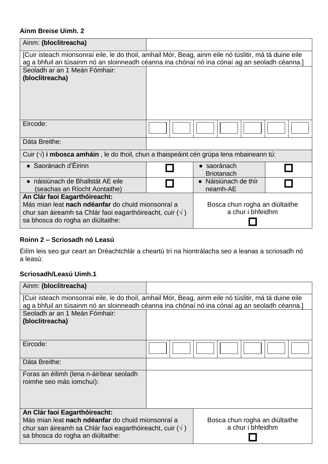## **Ainm Breise Uimh. 2**

| Ainm: (bloclitreacha)                                                                                                                                                                                  |  |                                                     |  |  |
|--------------------------------------------------------------------------------------------------------------------------------------------------------------------------------------------------------|--|-----------------------------------------------------|--|--|
| [Cuir isteach mionsonraí eile, le do thoil, amhail Mór, Beag, ainm eile nó túslitir, má tá duine eile<br>ag a bhfuil an túsainm nó an sloinneadh céanna ina chónaí nó ina cónaí ag an seoladh céanna.] |  |                                                     |  |  |
| Seoladh ar an 1 Meán Fómhair:<br>(bloclitreacha)                                                                                                                                                       |  |                                                     |  |  |
| Eircode:                                                                                                                                                                                               |  |                                                     |  |  |
| Dáta Breithe:                                                                                                                                                                                          |  |                                                     |  |  |
| Cuir $(\sqrt{ } )$ i mbosca amháin, le do thoil, chun a thaispeáint cén grúpa lena mbaineann tú:                                                                                                       |  |                                                     |  |  |
| $\bullet$ Saoránach d'Éirinn                                                                                                                                                                           |  | • saoránach<br><b>Briotanach</b>                    |  |  |
| • náisiúnach de Bhallstát AE eile<br>(seachas an Ríocht Aontaithe)                                                                                                                                     |  | Náisiúnach de thír<br>neamh-AE                      |  |  |
| An Clár faoi Eagarthóireacht:<br>Más mian leat nach ndéanfar do chuid mionsonraí a<br>chur san áireamh sa Chlár faoi eagarthóireacht, cuir $(\sqrt{})$<br>sa bhosca do rogha an diúltaithe:            |  | Bosca chun rogha an diúltaithe<br>a chur i bhfeidhm |  |  |

# **Roinn 2 – Scriosadh nó Leasú**

Éilím leis seo gur ceart an Dréachtchlár a cheartú trí na hiontrálacha seo a leanas a scriosadh nó a leasú:

### **Scriosadh/Leasú Uimh.1**

| Ainm: (bloclitreacha)                                                                                                                                                                                  |  |  |                                                     |
|--------------------------------------------------------------------------------------------------------------------------------------------------------------------------------------------------------|--|--|-----------------------------------------------------|
| [Cuir isteach mionsonraí eile, le do thoil, amhail Mór, Beag, ainm eile nó túslitir, má tá duine eile<br>ag a bhfuil an túsainm nó an sloinneadh céanna ina chónaí nó ina cónaí ag an seoladh céanna.] |  |  |                                                     |
| Seoladh ar an 1 Meán Fómhair:<br>(bloclitreacha)                                                                                                                                                       |  |  |                                                     |
| Eircode:                                                                                                                                                                                               |  |  |                                                     |
| Dáta Breithe:                                                                                                                                                                                          |  |  |                                                     |
| Foras an éilimh (lena n-áirítear seoladh<br>roimhe seo más iomchuí):                                                                                                                                   |  |  |                                                     |
| An Clár faoi Eagarthóireacht:<br>Más mian leat nach ndéanfar do chuid mionsonraí a<br>chur san áireamh sa Chlár faoi eagarthóireacht, cuir $(\sqrt{})$<br>sa bhosca do rogha an diúltaithe:            |  |  | Bosca chun rogha an diúltaithe<br>a chur i bhfeidhm |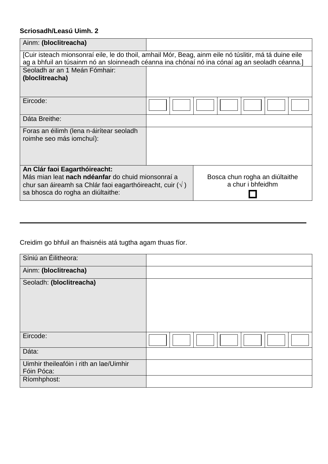# **Scriosadh/Leasú Uimh. 2**

| Ainm: (bloclitreacha)                                                                         |                                                                                                       |                                |                   |  |  |  |  |
|-----------------------------------------------------------------------------------------------|-------------------------------------------------------------------------------------------------------|--------------------------------|-------------------|--|--|--|--|
|                                                                                               |                                                                                                       |                                |                   |  |  |  |  |
|                                                                                               | [Cuir isteach mionsonraí eile, le do thoil, amhail Mór, Beag, ainm eile nó túslitir, má tá duine eile |                                |                   |  |  |  |  |
| ag a bhfuil an túsainm nó an sloinneadh céanna ina chónaí nó ina cónaí ag an seoladh céanna.] |                                                                                                       |                                |                   |  |  |  |  |
| Seoladh ar an 1 Meán Fómhair:                                                                 |                                                                                                       |                                |                   |  |  |  |  |
| (bloclitreacha)                                                                               |                                                                                                       |                                |                   |  |  |  |  |
|                                                                                               |                                                                                                       |                                |                   |  |  |  |  |
|                                                                                               |                                                                                                       |                                |                   |  |  |  |  |
| Eircode:                                                                                      |                                                                                                       |                                |                   |  |  |  |  |
|                                                                                               |                                                                                                       |                                |                   |  |  |  |  |
|                                                                                               |                                                                                                       |                                |                   |  |  |  |  |
| Dáta Breithe:                                                                                 |                                                                                                       |                                |                   |  |  |  |  |
| Foras an éilimh (lena n-áirítear seoladh                                                      |                                                                                                       |                                |                   |  |  |  |  |
| roimhe seo más iomchuí):                                                                      |                                                                                                       |                                |                   |  |  |  |  |
|                                                                                               |                                                                                                       |                                |                   |  |  |  |  |
|                                                                                               |                                                                                                       |                                |                   |  |  |  |  |
|                                                                                               |                                                                                                       |                                |                   |  |  |  |  |
| An Clár faoi Eagarthóireacht:                                                                 |                                                                                                       |                                |                   |  |  |  |  |
| Más mian leat nach ndéanfar do chuid mionsonraí a                                             |                                                                                                       | Bosca chun rogha an diúltaithe |                   |  |  |  |  |
| chur san áireamh sa Chlár faoi eagarthóireacht, cuir $(\sqrt{})$                              |                                                                                                       |                                | a chur i bhfeidhm |  |  |  |  |
| sa bhosca do rogha an diúltaithe:                                                             |                                                                                                       |                                |                   |  |  |  |  |
|                                                                                               |                                                                                                       |                                |                   |  |  |  |  |

Creidim go bhfuil an fhaisnéis atá tugtha agam thuas fíor.

| Síniú an Éilitheora:                                  |  |
|-------------------------------------------------------|--|
| Ainm: (bloclitreacha)                                 |  |
| Seoladh: (bloclitreacha)                              |  |
| Eircode:                                              |  |
| Dáta:                                                 |  |
| Uimhir theileafóin i rith an lae/Uimhir<br>Fóin Póca: |  |
| Ríomhphost:                                           |  |

**\_\_\_\_\_\_\_\_\_\_\_\_\_\_\_\_\_\_\_\_\_\_\_\_\_\_\_\_\_\_\_\_\_\_\_\_\_\_\_\_\_\_\_\_\_\_\_\_\_\_\_\_\_\_\_\_\_\_\_\_\_\_\_\_\_\_\_\_\_\_\_\_\_\_\_\_\_\_**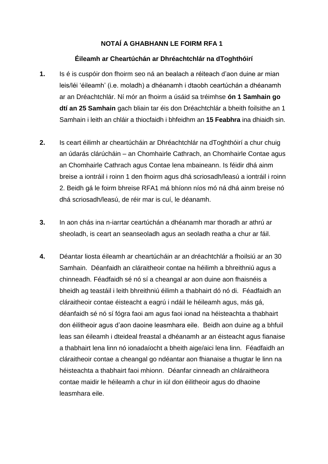## **NOTAÍ A GHABHANN LE FOIRM RFA 1**

#### **Éileamh ar Cheartúchán ar Dhréachtchlár na dToghthóirí**

- **1.** Is é is cuspóir don fhoirm seo ná an bealach a réiteach d'aon duine ar mian leis/léi 'éileamh' (i.e. moladh) a dhéanamh i dtaobh ceartúchán a dhéanamh ar an Dréachtchlár. Ní mór an fhoirm a úsáid sa tréimhse **ón 1 Samhain go dtí an 25 Samhain** gach bliain tar éis don Dréachtchlár a bheith foilsithe an 1 Samhain i leith an chláir a thiocfaidh i bhfeidhm an **15 Feabhra** ina dhiaidh sin.
- **2.** Is ceart éilimh ar cheartúcháin ar Dhréachtchlár na dToghthóirí a chur chuig an údarás clárúcháin – an Chomhairle Cathrach, an Chomhairle Contae agus an Chomhairle Cathrach agus Contae lena mbaineann. Is féidir dhá ainm breise a iontráil i roinn 1 den fhoirm agus dhá scriosadh/leasú a iontráil i roinn 2. Beidh gá le foirm bhreise RFA1 má bhíonn níos mó ná dhá ainm breise nó dhá scriosadh/leasú, de réir mar is cuí, le déanamh.
- **3.** In aon chás ina n-iarrtar ceartúchán a dhéanamh mar thoradh ar athrú ar sheoladh, is ceart an seanseoladh agus an seoladh reatha a chur ar fáil.
- **4.** Déantar liosta éileamh ar cheartúcháin ar an dréachtchlár a fhoilsiú ar an 30 Samhain. Déanfaidh an cláraitheoir contae na héilimh a bhreithniú agus a chinneadh. Féadfaidh sé nó sí a cheangal ar aon duine aon fhaisnéis a bheidh ag teastáil i leith bhreithniú éilimh a thabhairt dó nó di. Féadfaidh an cláraitheoir contae éisteacht a eagrú i ndáil le héileamh agus, más gá, déanfaidh sé nó sí fógra faoi am agus faoi ionad na héisteachta a thabhairt don éilitheoir agus d'aon daoine leasmhara eile. Beidh aon duine ag a bhfuil leas san éileamh i dteideal freastal a dhéanamh ar an éisteacht agus fianaise a thabhairt lena linn nó ionadaíocht a bheith aige/aici lena linn. Féadfaidh an cláraitheoir contae a cheangal go ndéantar aon fhianaise a thugtar le linn na héisteachta a thabhairt faoi mhionn. Déanfar cinneadh an chláraitheora contae maidir le héileamh a chur in iúl don éilitheoir agus do dhaoine leasmhara eile.